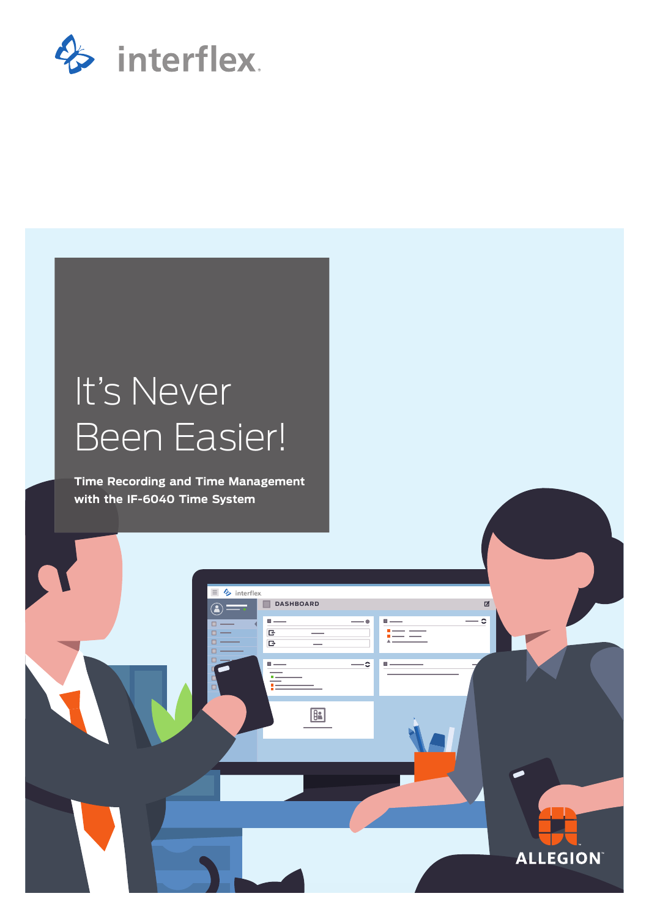

# It's Never Been Easier!

**Time Recording and Time Management with the IF-6040 Time System**

**DASHBOARD**

 $\sqrt{B}$ 

 $\Box$  $\overline{B}$   $\blacksquare$ 

 $=$ 

 $\equiv$   $\frac{1}{2}$  interflex

 $\bullet =$ 

1

**ALLEGION** 

☑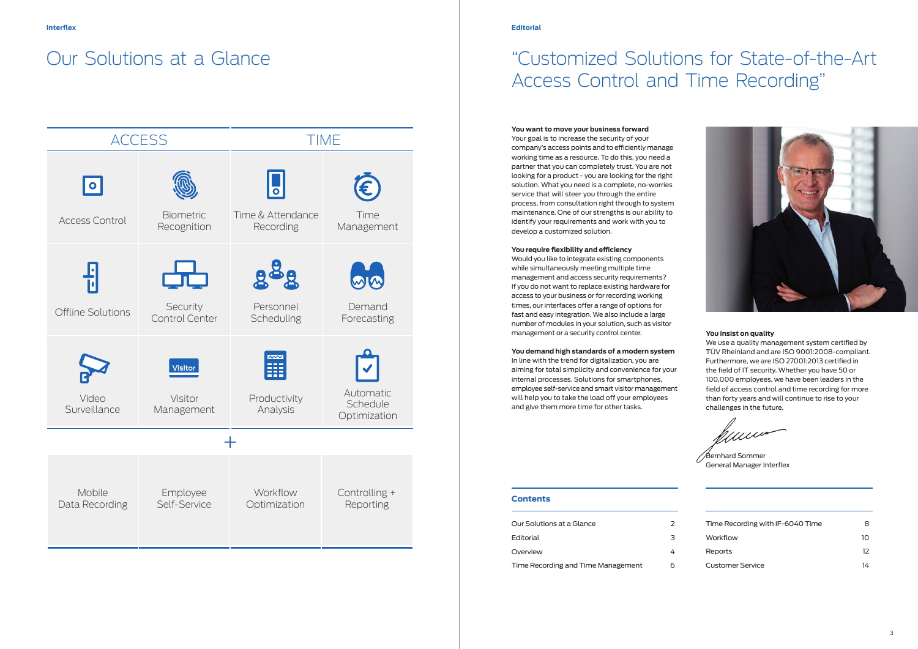#### **Contents**

| Our Solutions at a Glance          |   |
|------------------------------------|---|
| Editorial                          | з |
| Overview                           |   |
| Time Recording and Time Management | h |



| Time Recording with IF-6040 Time | 8  |
|----------------------------------|----|
| Workflow                         | 10 |
| <b>Reports</b>                   | 12 |
| <b>Customer Service</b>          | 14 |

## "Customized Solutions for State-of-the-Art Access Control and Time Recording"

#### **You want to move your business forward**

Your goal is to increase the security of your company's access points and to efficiently manage working time as a resource. To do this, you need a partner that you can completely trust. You are not looking for a product - you are looking for the right solution. What you need is a complete, no-worries service that will steer you through the entire process, from consultation right through to system maintenance. One of our strengths is our ability to identify your requirements and work with you to develop a customized solution.

#### **You require flexibility and efficiency**

Would you like to integrate existing components while simultaneously meeting multiple time management and access security requirements? If you do not want to replace existing hardware for access to your business or for recording working times, our interfaces offer a range of options for fast and easy integration. We also include a large number of modules in your solution, such as visitor management or a security control center.

**You demand high standards of a modern system**  In line with the trend for digitalization, you are aiming for total simplicity and convenience for your internal processes. Solutions for smartphones, employee self-service and smart visitor management will help you to take the load off your employees and give them more time for other tasks.

Bernhard Sommer General Manager Interflex

#### **You insist on quality**

We use a quality management system certified by TÜV Rheinland and are ISO 9001:2008-compliant. Furthermore, we are ISO 27001:2013 certified in the field of IT security. Whether you have 50 or 100,000 employees, we have been leaders in the field of access control and time recording for more than forty years and will continue to rise to your challenges in the future.

## Our Solutions at a Glance

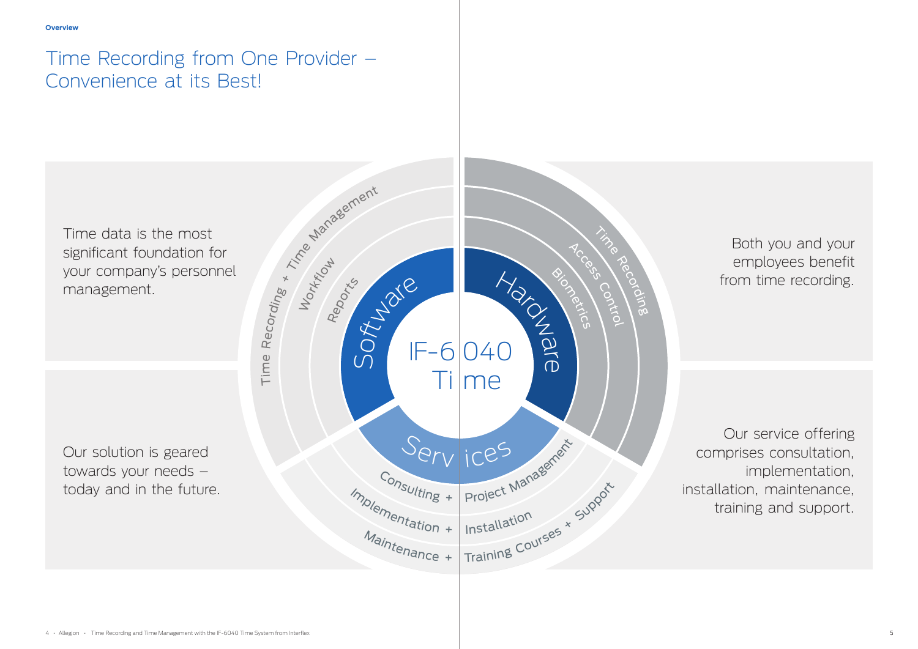Time data is the most significant foundation for your company's personnel management.

Both you and your employees benefit from time recording.

Our solution is geared towards your needs – today and in the future.

Our service offering comprises consultation, implementation, installation, maintenance, training and support.

## Time Recording from One Provider – Convenience at its Best!

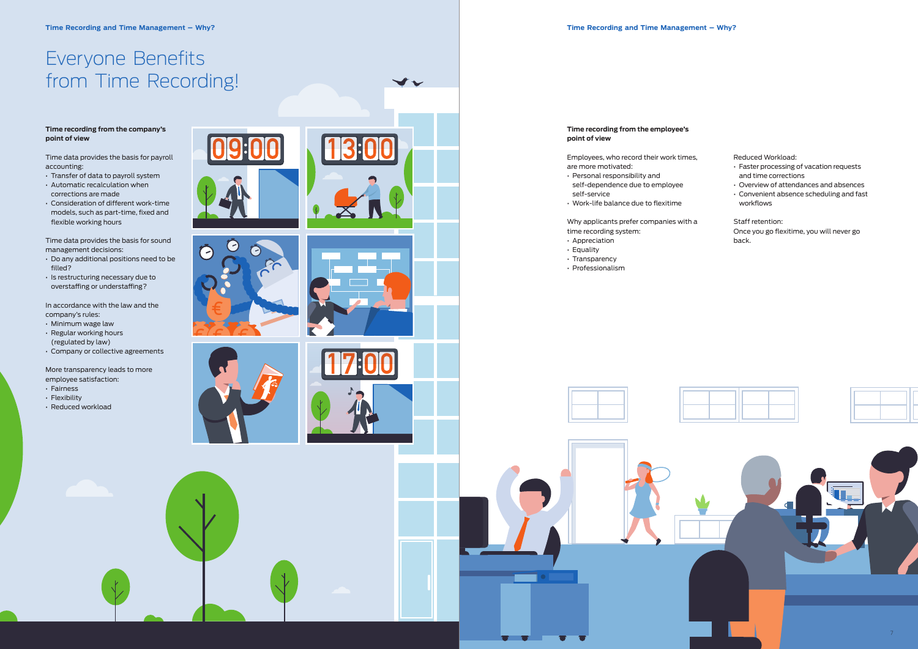















**Time recording from the employee's** 

**point of view** 

## Employees, who record their work times,

are more motivated:

• Personal responsibility and

self-dependence due to employee

self-service

• Work-life balance due to flexitime

Why applicants prefer companies with a

time recording system:





• Appreciation • Equality

- Transparency
- Professionalism

#### **Time recording from the company's point of view**

Time data provides the basis for payroll accounting:

- Transfer of data to payroll system
- Automatic recalculation when corrections are made
- Consideration of different work-time models, such as part-time, fixed and flexible working hours

Time data provides the basis for sound management decisions:

- Do any additional positions need to be filled?
- Is restructuring necessary due to overstaffing or understaffing?

In accordance with the law and the company's rules:

- Minimum wage law
- Regular working hours (regulated by law)

• Company or collective agreements

More transparency leads to more

employee satisfaction:

- Fairness
- Flexibility
- Reduced workload





# Everyone Benefits from Time Recording!

Reduced Workload:

- Faster processing of vacation requests and time corrections
- Overview of attendances and absences
- Convenient absence scheduling and fast workflows

#### Staff retention: Once you go flexitime, you will never go back.

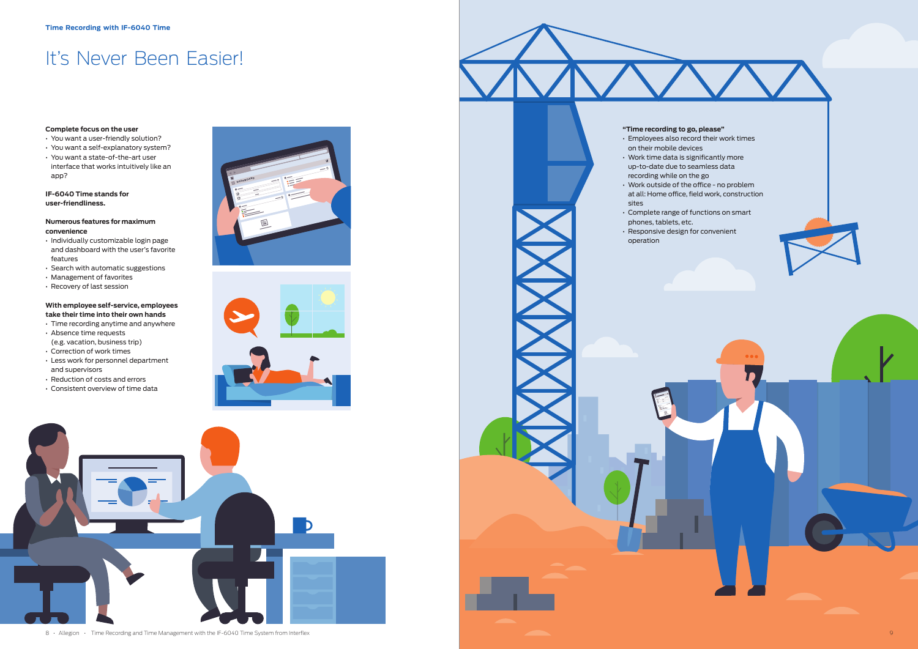

8 • Allegion • Time Recording and Time Management with the IF-6040 Time System from Interflex 9







# It's Never Been Easier!

#### **Complete focus on the user**

- You want a user-friendly solution?
- You want a self-explanatory system?
- You want a state-of-the-art user
- interface that works intuitively like an app?

#### **IF-6040 Time stands for user-friendliness.**

#### **Numerous features for maximum convenience**

- Individually customizable login page and dashboard with the user's favorite features
- Search with automatic suggestions
- Management of favorites
- Recovery of last session

#### **With employee self-service, employees take their time into their own hands**

- Time recording anytime and anywhere • Absence time requests
- (e.g. vacation, business trip) • Correction of work times
- Less work for personnel department and supervisors
- Reduction of costs and errors
- Consistent overview of time data

#### **"Time recording to go, please"**

- Employees also record their work times on their mobile devices
- Work time data is significantly more up-to-date due to seamless data
- recording while on the go • Work outside of the office - no problem at all: Home office, field work, construction sites
- Complete range of functions on smart
- phones, tablets, etc. • Responsive design for convenient
- operation

- 
- 
- 
-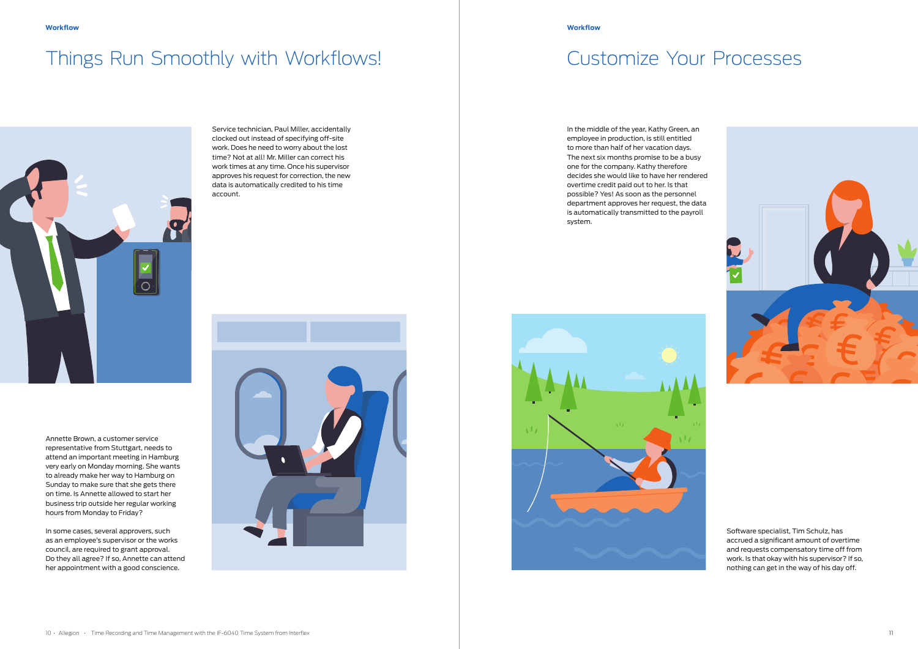# Things Run Smoothly with Workflows! Things Run Smoothly with Workflows!







#### **Workflow Workflow**

Service technician, Paul Miller, accidentally clocked out instead of specifying off-site work. Does he need to worry about the lost time? Not at all! Mr. Miller can correct his work times at any time. Once his supervisor approves his request for correction, the new data is automatically credited to his time account.

In the middle of the year, Kathy Green, an employee in production, is still entitled to more than half of her vacation days. The next six months promise to be a busy one for the company. Kathy therefore decides she would like to have her rendered overtime credit paid out to her. Is that possible? Yes! As soon as the personnel department approves her request, the data is automatically transmitted to the payroll system.



Annette Brown, a customer service representative from Stuttgart, needs to attend an important meeting in Hamburg very early on Monday morning. She wants to already make her way to Hamburg on Sunday to make sure that she gets there on time. Is Annette allowed to start her business trip outside her regular working hours from Monday to Friday?

In some cases, several approvers, such as an employee's supervisor or the works council, are required to grant approval. Do they all agree? If so, Annette can attend her appointment with a good conscience.

Software specialist, Tim Schulz, has accrued a significant amount of overtime and requests compensatory time off from work. Is that okay with his supervisor? If so, nothing can get in the way of his day off.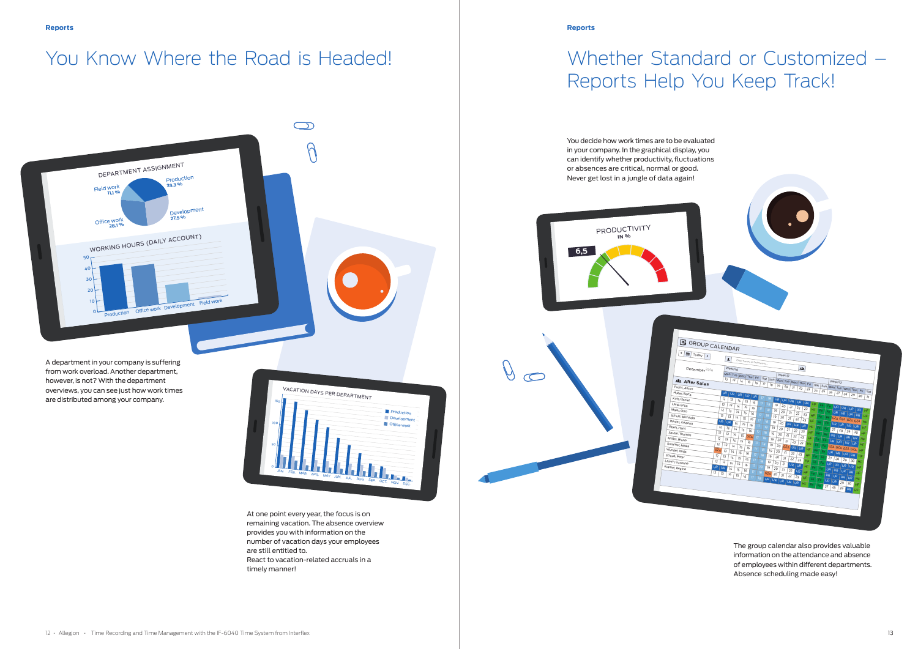VACATION DAYS PER DEPARTMENT 100 150 JAN. FEB. MAR. APR. MAY JUN. JUL. AUG. SEP. OCT. NOV. DEC. **Production** Development **Office** work







## You Know Where the Road is Headed! Now the there Standard or Customized –

# Reports Help You Keep Track!

You decide how work times are to be evaluated in your company. In the graphical display, you can identify whether productivity, fluctuations or absences are critical, normal or good. Never get lost in a jungle of data again!

At one point every year, the focus is on remaining vacation. The absence overview provides you with information on the number of vacation days your employees are still entitled to. React to vacation-related accruals in a timely manner!

 $\partial$ 

The group calendar also provides valuable information on the attendance and absence of employees within different departments. Absence scheduling made easy!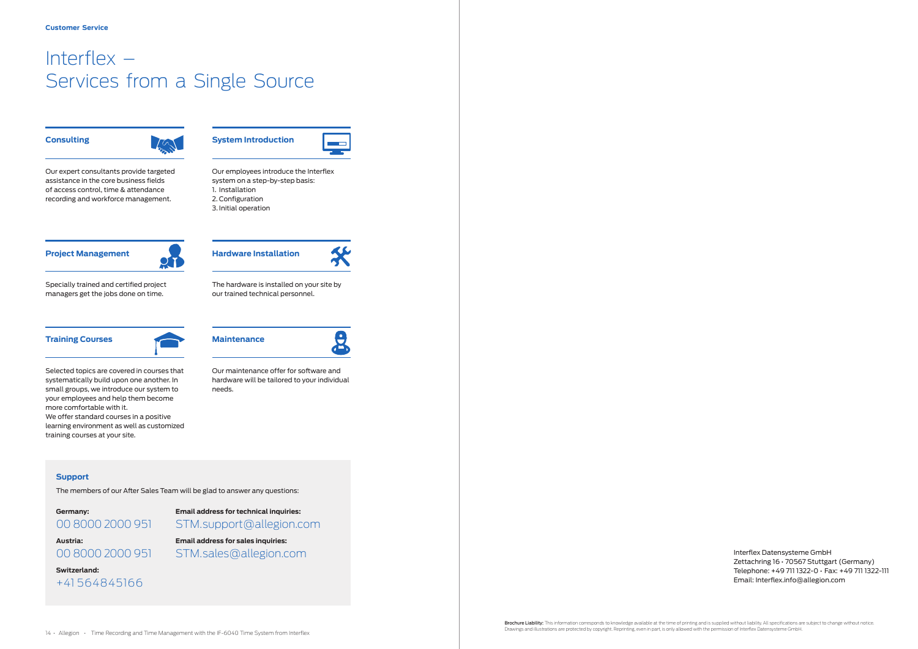**System Introduction**

Our employees introduce the Interflex system on a step-by-step basis:

1. Installation 2. Configuration 3. Initial operation

#### **Training Courses**



Selected topics are covered in courses that systematically build upon one another. In small groups, we introduce our system to your employees and help them become more comfortable with it. We offer standard courses in a positive learning environment as well as customized training courses at your site.



## **Project Management**



Specially trained and certified project managers get the jobs done on time.

## **Consulting**



Our expert consultants provide targeted assistance in the core business fields of access control, time & attendance recording and workforce management.

## Interflex – Services from a Single Source

**Hardware Installation**

The hardware is installed on your site by

our trained technical personnel.



Our maintenance offer for software and hardware will be tailored to your individual

 $\left( \begin{matrix} \bullet \ \bullet \end{matrix} \right)$ 

needs.

#### **Support**

The members of our After Sales Team will be glad to answer any questions:

## **Germany: Email address for technical inquiries:** 00 8000 2000 951 STM.support@allegion.com

**Austria: Email address for sales inquiries:** 00 8000 2000 951 STM.sales@allegion.com



Interflex Datensysteme GmbH Zettachring 16 • 70567 Stuttgart (Germany) Telephone: +49 711 1322-0 • Fax: +49 711 1322-111 Email: Interflex.info@allegion.com